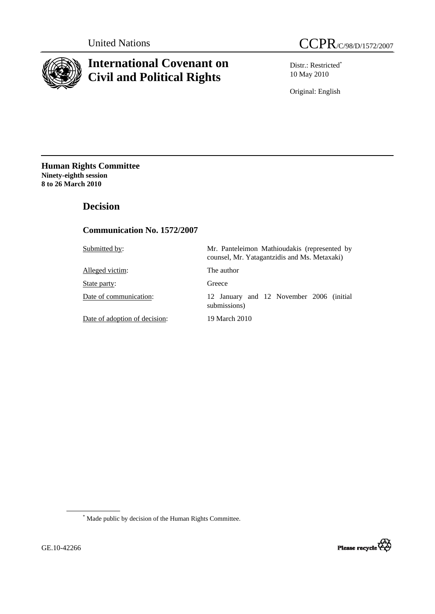

# **International Covenant on Civil and Political Rights**

Distr.: Restricted\* 10 May 2010

Original: English

**Human Rights Committee Ninety-eighth session 8 to 26 March 2010** 

# **Decision**

## **Communication No. 1572/2007**

| Submitted by:                 | Mr. Panteleimon Mathioudakis (represented by<br>counsel, Mr. Yatagantzidis and Ms. Metaxaki) |
|-------------------------------|----------------------------------------------------------------------------------------------|
| Alleged victim:               | The author                                                                                   |
| State party:                  | Greece                                                                                       |
| Date of communication:        | 12 January and 12 November 2006 (initial<br>submissions)                                     |
| Date of adoption of decision: | 19 March 2010                                                                                |

 \* Made public by decision of the Human Rights Committee.

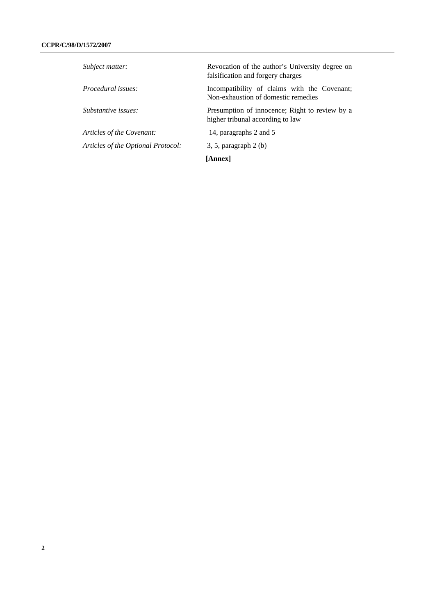| Subject matter:                    | Revocation of the author's University degree on<br>falsification and forgery charges |
|------------------------------------|--------------------------------------------------------------------------------------|
| Procedural issues:                 | Incompatibility of claims with the Covenant;<br>Non-exhaustion of domestic remedies  |
| Substantive issues:                | Presumption of innocence; Right to review by a<br>higher tribunal according to law   |
| Articles of the Covenant:          | 14, paragraphs 2 and 5                                                               |
| Articles of the Optional Protocol: | $3, 5$ , paragraph $2(b)$                                                            |
|                                    | [Annex]                                                                              |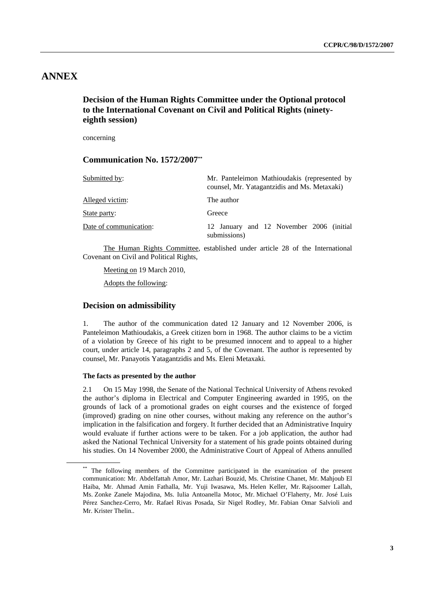# **ANNEX**

## **Decision of the Human Rights Committee under the Optional protocol to the International Covenant on Civil and Political Rights (ninetyeighth session)**

concerning

## **Communication No. 1572/2007\*\***

| Submitted by:          | Mr. Panteleimon Mathioudakis (represented by<br>counsel, Mr. Yatagantzidis and Ms. Metaxaki) |
|------------------------|----------------------------------------------------------------------------------------------|
| Alleged victim:        | The author                                                                                   |
| State party:           | Greece                                                                                       |
| Date of communication: | 12 January and 12 November 2006 (initial<br>submissions)                                     |

 The Human Rights Committee, established under article 28 of the International Covenant on Civil and Political Rights,

Meeting on 19 March 2010,

Adopts the following:

### **Decision on admissibility**

1. The author of the communication dated 12 January and 12 November 2006, is Panteleimon Mathioudakis, a Greek citizen born in 1968. The author claims to be a victim of a violation by Greece of his right to be presumed innocent and to appeal to a higher court, under article 14, paragraphs 2 and 5, of the Covenant. The author is represented by counsel, Mr. Panayotis Yatagantzidis and Ms. Eleni Metaxaki.

#### **The facts as presented by the author**

2.1 On 15 May 1998, the Senate of the National Technical University of Athens revoked the author's diploma in Electrical and Computer Engineering awarded in 1995, on the grounds of lack of a promotional grades on eight courses and the existence of forged (improved) grading on nine other courses, without making any reference on the author's implication in the falsification and forgery. It further decided that an Administrative Inquiry would evaluate if further actions were to be taken. For a job application, the author had asked the National Technical University for a statement of his grade points obtained during his studies. On 14 November 2000, the Administrative Court of Appeal of Athens annulled

<sup>\*\*</sup> The following members of the Committee participated in the examination of the present communication: Mr. Abdelfattah Amor, Mr. Lazhari Bouzid, Ms. Christine Chanet, Mr. Mahjoub El Haiba, Mr. Ahmad Amin Fathalla, Mr. Yuji Iwasawa, Ms. Helen Keller, Mr. Rajsoomer Lallah, Ms. Zonke Zanele Majodina, Ms. Iulia Antoanella Motoc, Mr. Michael O'Flaherty, Mr. José Luis Pérez Sanchez-Cerro, Mr. Rafael Rivas Posada, Sir Nigel Rodley, Mr. Fabian Omar Salvioli and Mr. Krister Thelin..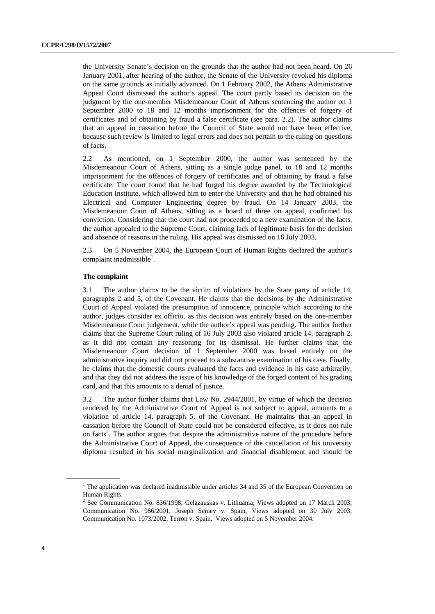the University Senate's decision on the grounds that the author had not been heard. On 26 January 2001, after hearing of the author, the Senate of the University revoked his diploma on the same grounds as initially advanced. On 1 February 2002, the Athens Administrative Appeal Court dismissed the author's appeal. The court partly based its decision on the judgment by the one-member Misdemeanour Court of Athens sentencing the author on 1 September 2000 to 18 and 12 months imprisonment for the offences of forgery of certificates and of obtaining by fraud a false certificate (see para. 2.2). The author claims that an appeal in cassation before the Council of State would not have been effective, because such review is limited to legal errors and does not pertain to the ruling on questions of facts.

2.2 As mentioned, on 1 September 2000, the author was sentenced by the Misdemeanour Court of Athens, sitting as a single judge panel, to 18 and 12 months imprisonment for the offences of forgery of certificates and of obtaining by fraud a false certificate. The court found that he had forged his degree awarded by the Technological Education Institute, which allowed him to enter the University and that he had obtained his Electrical and Computer Engineering degree by fraud. On 14 January 2003, the Misdemeanour Court of Athens, sitting as a board of three on appeal, confirmed his conviction. Considering that the court had not proceeded to a new examination of the facts, the author appealed to the Supreme Court, claiming lack of legitimate basis for the decision and absence of reasons in the ruling. His appeal was dismissed on 16 July 2003.

2.3 On 5 November 2004, the European Court of Human Rights declared the author's complaint inadmissible<sup>1</sup>.

#### **The complaint**

3.1 The author claims to be the victim of violations by the State party of article 14, paragraphs 2 and 5, of the Covenant. He claims that the decisions by the Administrative Court of Appeal violated the presumption of innocence, principle which according to the author, judges consider ex officio, as this decision was entirely based on the one-member Misdemeanour Court judgement, while the author's appeal was pending. The author further claims that the Supreme Court ruling of 16 July 2003 also violated article 14, paragraph 2, as it did not contain any reasoning for its dismissal. He further claims that the Misdemeanour Court decision of 1 September 2000 was based entirely on the administrative inquiry and did not proceed to a substantive examination of his case. Finally, he claims that the domestic courts evaluated the facts and evidence in his case arbitrarily, and that they did not address the issue of his knowledge of the forged content of his grading card, and that this amounts to a denial of justice.

3.2 The author further claims that Law No. 2944/2001, by virtue of which the decision rendered by the Administrative Court of Appeal is not subject to appeal, amounts to a violation of article 14, paragraph 5, of the Covenant. He maintains that an appeal in cassation before the Council of State could not be considered effective, as it does not rule on facts<sup>2</sup>. The author argues that despite the administrative nature of the procedure before the Administrative Court of Appeal, the consequence of the cancellation of his university diploma resulted in his social marginalization and financial disablement and should be

<sup>1</sup>  $1$  The application was declared inadmissible under articles 34 and 35 of the European Convention on Human Rights.

<sup>2</sup>  $2$  See Communication No. 836/1998, Gelazauskas v. Lithuania, Views adopted on 17 March 2003; Communication No. 986/2001, Joseph Semey v. Spain, Views adopted on 30 July 2003; Communication No. 1073/2002, Terron v. Spain, Views adopted on 5 November 2004.